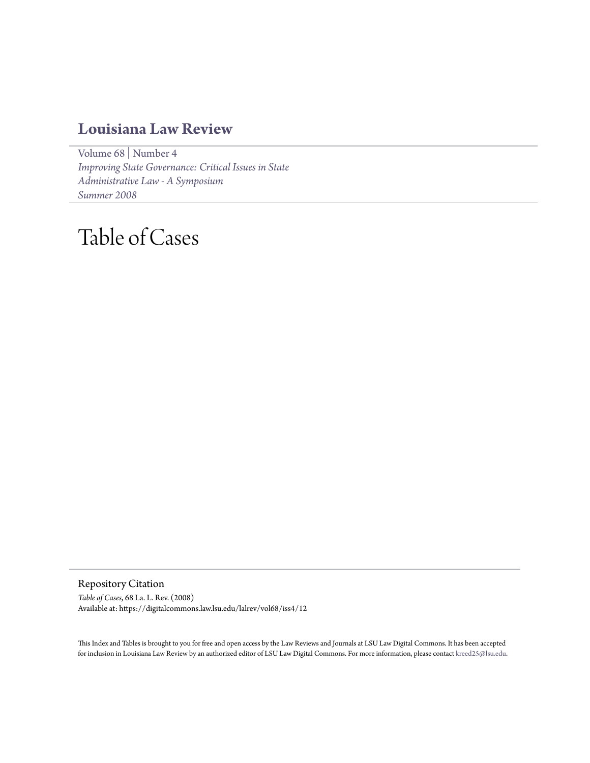## **[Louisiana Law Review](https://digitalcommons.law.lsu.edu/lalrev)**

[Volume 68](https://digitalcommons.law.lsu.edu/lalrev/vol68) | [Number 4](https://digitalcommons.law.lsu.edu/lalrev/vol68/iss4) *[Improving State Governance: Critical Issues in State](https://digitalcommons.law.lsu.edu/lalrev/vol68/iss4) [Administrative Law - A Symposium](https://digitalcommons.law.lsu.edu/lalrev/vol68/iss4) [Summer 2008](https://digitalcommons.law.lsu.edu/lalrev/vol68/iss4)*

## Table of Cases

Repository Citation *Table of Cases*, 68 La. L. Rev. (2008) Available at: https://digitalcommons.law.lsu.edu/lalrev/vol68/iss4/12

This Index and Tables is brought to you for free and open access by the Law Reviews and Journals at LSU Law Digital Commons. It has been accepted for inclusion in Louisiana Law Review by an authorized editor of LSU Law Digital Commons. For more information, please contact [kreed25@lsu.edu](mailto:kreed25@lsu.edu).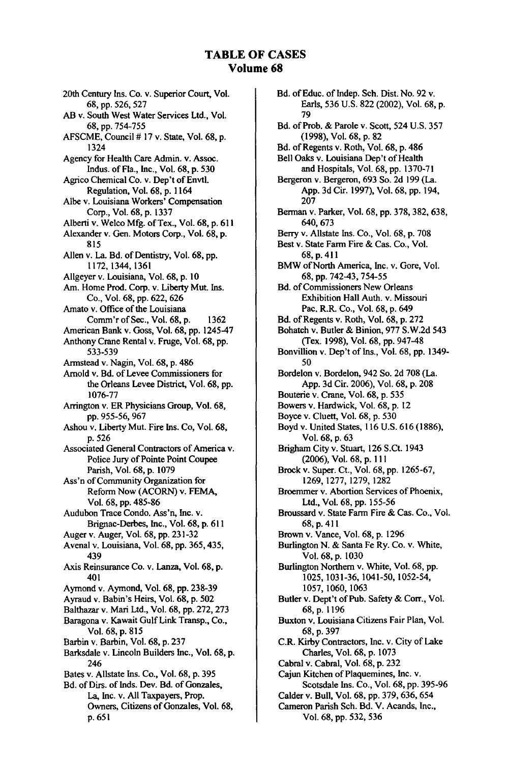## **TABLE OF CASES Volume 68**

20th Century Ins. Co. v. Superior Court, Vol. **68,** pp. **526,** 527 AB v. South West Water Services Ltd., Vol. 68, pp. 754-755 AFSCME, Council **#** 17 v. State, Vol. 68, p. 1324 Agency for Health Care Admin. v. Assoc. Indus. of Fla., Inc., Vol. 68, p. 530 Agrico Chemical Co. v. Dep't of Envtl. Regulation, Vol. 68, p. 1164 Albe v. Louisiana Workers' Compensation Corp., Vol. 68, p. 1337 Alberti v. Welco Mfg. of Tex., Vol. 68, p. **611** Alexander v. Gen. Motors Corp., Vol. 68, p. 815 Allen v. La. Bd. of Dentistry, Vol. 68, pp. 1172, 1344,1361 Allgeyer v. Louisiana, Vol. **68,** p. **10** Am. Home Prod. Corp. v. Liberty Mut. Ins. Co., Vol. 68, pp. 622, 626 Amato v. Office of the Louisiana Comm'r of Sec., Vol. 68, p. 1362 American Bank v. Goss, Vol. 68, pp. 1245-47 Anthony Crane Rental v. Fruge, Vol. 68, pp. 533-539 Armstead v. Nagin, Vol. 68, p. 486 Arnold v. Bd. of Levee Commissioners for the Orleans Levee District, Vol. 68, pp. 1076-77 Arrington v. ER Physicians Group, Vol. **68,** pp. 955-56, 967 Ashou v. Liberty Mut. Fire Ins. Co, Vol. 68, p. 526 Associated General Contractors of America v. Police Jury of Pointe Point Coupee Parish, Vol. 68, **p.** 1079 Ass'n of Community Organization for Reform Now (ACORN) v. FEMA, Vol. 68, pp. 485-86 Audubon Trace Condo. Ass'n, Inc. v. Brignac-Derbes, Inc., Vol. 68, **p.** <sup>6</sup> <sup>1</sup> <sup>1</sup> Auger v. Auger, Vol. 68, pp. 231-32 Avenal v. Louisiana, Vol. 68, pp. 365,435, 439 Axis Reinsurance Co. v. Lanza, Vol. **68, p.** 401 Aymond v. Aymond, Vol. 68, pp. 238-39 Ayraud v. Babin's Heirs, Vol. 68, p. 502 Balthazar v. Mari Ltd., Vol. 68, pp. 272, 273 Baragona v. Kawait Gulf Link Transp., Co., Vol. 68, p. 815 Barbin v. Barbin, Vol. 68, p. 237 Barksdale v. Lincoln Builders Inc., Vol. 68, p. 246 Bates v. Allstate Ins. Co., Vol. 68, p. 395 Bd. of Dirs. of Inds. Dev. Bd. of Gonzales, La, Inc. v. All Taxpayers, Prop. Owners, Citizens of Gonzales, Vol. 68, p.651

Bd. of Educ. of Indep. Sch. Dist. No. 92 v. Earls, 536 U.S. 822 (2002), Vol. 68, p. 79 Bd. of Prob. & Parole v. Scott, 524 U.S. 357 (1998), Vol. 68, p. 82 Bd. of Regents v. Roth, Vol. 68, p. 486 Bell Oaks v. Louisiana Dep't of Health and Hospitals, Vol. 68, pp. 1370-71 Bergeron v. Bergeron, 693 So. 2d 199 (La. App. 3d Cir. 1997), Vol. 68, pp. 194, 207 Berman v. Parker, Vol. 68, pp. 378, 382, 638, 640, 673 Berry v. Allstate Ins. Co., Vol. 68, p. 708 Best v. State Farm Fire & Cas. Co., Vol. 68, p. 411 BMW of North America, Inc. v. Gore, Vol. 68, pp. 742-43, 754-55 Bd. of Commissioners New Orleans Exhibition Hall Auth. v. Missouri Pac. R.R. Co., Vol. 68, p. 649 Bd. of Regents v. Roth, Vol. 68, p. 272 Bohatch v. Butler & Binion, 977 S.W.2d 543 (Tex. 1998), Vol. 68, pp. 947-48 Bonvillion v. Dep't of Ins., Vol. 68, pp. 1349- 50 Bordelon v. Bordelon, 942 So. 2d 708 (La. App. 3d Cir. 2006), Vol. 68, p. 208 Bouterie v. Crane, Vol. 68, p. 535 Bowers v. Hardwick, Vol. 68, p. 12 Boyce v. Cluett, Vol. 68, p. 530 Boyd v. United States, 116 U.S. 616 (1886), Vol. 68, p. 63 Brigham City v. Stuart, 126 S.Ct. 1943 (2006), Vol. 68, p. 111 Brock v. Super. Ct., Vol. 68, pp. 1265-67, 1269, 1277, 1279, 1282 Broemmer v. Abortion Services of Phoenix, Ltd., Vol. 68, pp. 155-56 Broussard v. State Farm Fire & Cas. Co., Vol. 68, p. <sup>4</sup> <sup>1</sup> <sup>1</sup> Brown v. Vance, Vol. 68, p. 1296 Burlington N. & Santa Fe Ry. Co. v. White, Vol. 68, p. 1030 Burlington Northern v. White, Vol. 68, pp. 1025, 1031-36, 1041-50, 1052-54, 1057, 1060, 1063 Butler v. Dept't of Pub. Safety & Corr., Vol. 68,p. 1196 Buxton v. Louisiana Citizens Fair Plan, Vol. 68, p. 397 C.R. Kirby Contractors, Inc. v. City of Lake Charles, Vol. 68, p. 1073 Cabral v. Cabral, Vol. 68, p. 232 Cajun Kitchen of Plaquemines, Inc. v. Scotsdale Ins. Co., Vol. 68, pp. 395-96 Calder v. Bull, Vol. 68, pp. 379, 636, 654 Cameron Parish Sch. Bd. V. Acands, Inc., Vol. 68, pp. 532, 536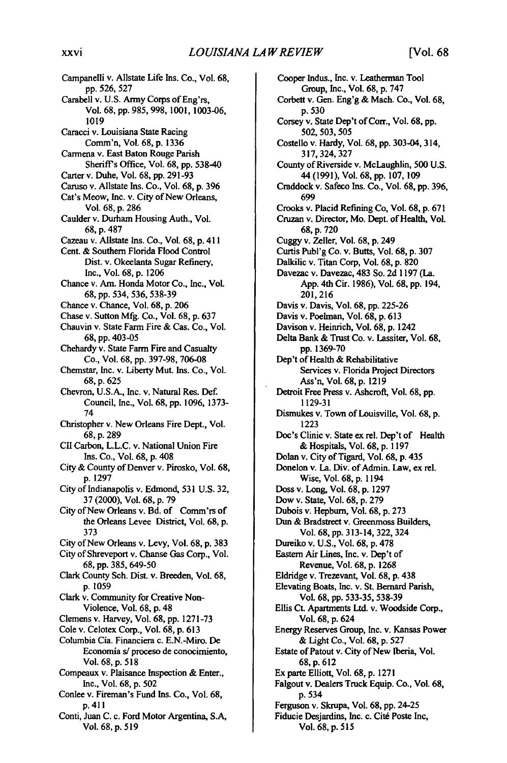Campanelli v. Allstate Life Ins. Co., Vol. **68, pp.** 526, 527 Carabell v. U.S. Army Corps of Eng'rs, Vol. 68, pp. 985, 998, **1001,** 1003-06, **1019** Caracci v. Louisiana State Racing Comm'n, Vol. **68,** p. **1336** Carmena v. East Baton Rouge Parish Sheriff's Office, Vol. **68, pp.** 538-40 Carter v. Duhe, Vol. 68, pp. **291-93** Caruso v. Allstate Ins. Co., Vol. **68,** p. **<sup>3</sup> <sup>9</sup> <sup>6</sup>** Cat's Meow, Inc. v. City of New Orleans, Vol. 68, p. 286 Caulder v. Durham Housing Auth., Vol. 68, p. 487 Cazeau v. Allstate Ins. Co., Vol. 68, p. 4 <sup>1</sup> 1 Cent. & Southern Florida Flood Control Dist. v. Okeelanta Sugar Refinery, Inc., Vol. 68, p. **1206** Chance v. Am. Honda Motor Co., Inc., Vol. 68, pp. 534, 536, **538-39** Chance v. Chance, Vol. 68, p. 206 Chase v. Sutton Mfg. Co., Vol. 68, p. **637** Chauvin v. State Farm Fire & Cas. Co., Vol. 68, pp. 403-05 Chehardy v. State Farm Fire and Casualty Co., Vol. 68, pp. 397-98, 706-08 Chemstar, Inc. v. Liberty Mut. Ins. Co., Vol. 68, p. 625 Chevron, **U.S.A.,** Inc. v. Natural Res. Def. Council, Inc., Vol. 68, pp. 1096, 1373- 74 Christopher v. New Orleans Fire Dept., Vol. 68, p. 289 CII Carbon, L.L.C. v. National Union Fire Ins. Co., Vol. 68, p. 408 City & County of Denver v. Pirosko, Vol. 68, p. 1297 City of Indianapolis v. Edmond, **531** U.S. **32, 37** (2000), Vol. 68, p. **79** City of New Orleans v. Bd. of Comm'rs of the Orleans Levee District, Vol. 68, p. **373** City of New Orleans v. Levy, Vol. 68, p. **383** City of Shreveport v. Chanse Gas Corp., Vol. 68, **pp.** 385, 649-50 **Clark** County Sch. **Dist.** v. Breeden, Vol. 68, p. 1059 **Clark** v. Community for Creative Non-Violence, Vol. 68, **p.** <sup>4</sup> <sup>8</sup> Clemens v. Harvey, Vol. 68, pp. **1271-73** Cole v. Celotex Corp., Vol. 68, p. **613** Columbia Cia. Financiera c. E.N.-Miro. De Economia *s/* proceso de conocimiento, Vol. 68, p. **518** Compeaux v. Plaisance Inspection & Enter., Inc., Vol. 68, p. 502 Conlee v. Fireman's Fund Ins. Co., Vol. 68, p. 411 Conti, Juan C. c. Ford Motor Argentina, S.A, Vol. 68, p. **519**

Cooper Indus., Inc. v. Leatherman Tool Group, Inc., Vol. **68, p. 747** Corbett v. Gen. Eng'g & Mach. Co., Vol. **68, p. 530** Corsey v. State Dep't of Corr., Vol. 68, pp. 502, 503, **505** Costello v. Hardy, Vol. **68, pp.** 303-04, 314, **317,** 324,327 County of Riverside v. McLaughlin, **500 U.S.** 44 **(1991),** Vol. **68, pp. 107, 109** Craddock v. Safeco Ins. Co., Vol. **68, pp. 396, 699** Crooks v. Placid Refining Co, Vol. **68, p. 671** Cruzan v. Director, Mo. Dept. of Health, Vol. **68, p. 720** Cuggy v. Zeller, Vol. **68, p.** 249 Curtis Publ'g Co. v. Butts, Vol. **68, p. 307** Dalkilic v. Titan Corp, Vol. **68, p. 820** Davezac v. Davezac, 483 So. **2d 1197** (La. **App.** 4th Cir. **1986),** Vol. **68, pp.** 194, **201,216** Davis v. Davis, Vol. **68, pp. 225-26** Davis v. Poelman, Vol. **68, p. 613** Davison v. Heinrich, Vol. **68, p.** 1242 Delta Bank **&** Trust Co. v. Lassiter, Vol. **68, pp. 1369-70** Dep't of Health **&** Rehabilitative Services v. Florida Project Directors Ass'n, Vol. **68, p. 1219** Detroit Free Press v. Ashcrof, Vol. **68, pp. 1129-31** Dismukes v. Town of Louisville, Vol. **68, p. 1223** Doc's Clinic v. State **ex** rel. Dep't of Health **&** Hospitals, Vol. 68, p. **1197** Dolan v. City of Tigard, Vol. 68, p. 435 Donelon v. La. Div. of Admin. Law, ex rel. Wise, Vol. 68, p. 1194 Doss v. Long, Vol. 68, p. 1297 Dow v. State, Vol. 68, p. **279** Dubois v. Hepburn, Vol. 68, p. **273** Dun **&** Bradstreet v. Greenmoss Builders, Vol. 68, pp. 313-14, 322, 324 Dureiko v. U.S., Vol. **68,** p. **478** Eastern Air Lines, Inc. v. Dep't of Revenue, Vol. **68, p. 1268** Eldridge v. Trezevant, Vol. 68, p. 438 Elevating Boats, Inc. v. St. Bernard Parish, **Vol. 68, pp. 533-35, 538-39** Ellis **Ct** Apartments Ltd. v. Woodside Corp., Vol. **68, p.** 624 Energy Reserves Group, Inc. v. Kansas Power **&** Light Co., Vol. 68, p. **527** Estate of Patout v. City of New Iberia, Vol. 68, p. **612** Ex parte Elliott, Vol. 68, p. **1271** Falgout v. Dealers Truck Equip. Co., Vol. 68, p. **534** Ferguson v. Skrupa, Vol. 68, pp. 24-25 Fiducie Desjardins, Inc. c. Cité Poste Inc, Vol. 68, **p.** 515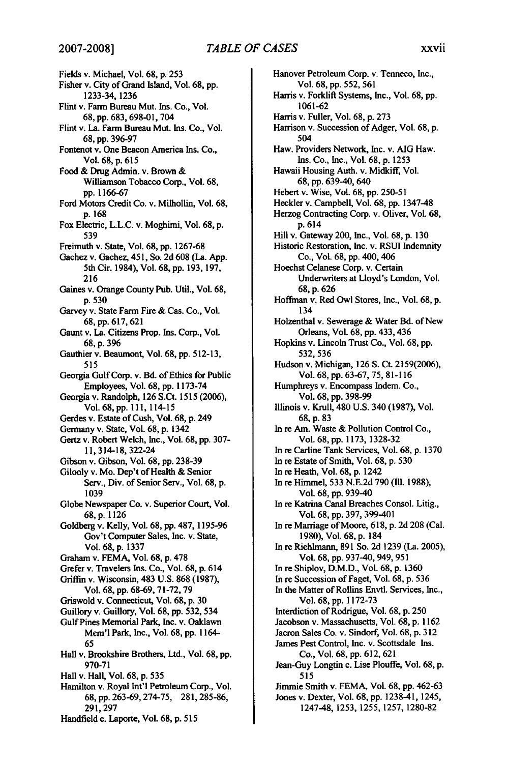## *TABLE OF CASES* **2007-2008]** xxvii

Fields v. Michael, Vol. **68, p. 253** Fisher v. City of Grand Island, Vol. **68, pp.** 1233-34, 1236 Flint v. Farm Bureau Mut. Ins. Co., Vol. 68, **pp.** 683, 698-01, 704 Flint v. La. Farm Bureau Mut. Ins. Co., Vol. 68, **pp.** 396-97 Fontenot v. One Beacon America Ins. Co., Vol. **68, p. <sup>6</sup> <sup>15</sup>** Food & Drug Admin. v. Brown & Williamson Tobacco Corp., Vol. 68, pp. 1166-67 Ford Motors Credit Co. v. Milhollin, Vol. 68, p. 168 Fox Electric, L.L.C. v. Moghimi, Vol. 68, p. 539 Freimuth v. State, Vol. **68, pp.** 1267-68 Gachez v. Gachez, 451, So. **2d 608** (La. App. 5th Cir. 1984), Vol. **68,** pp. **193, 197, 216** Gaines v. Orange County Pub. Util., Vol. 68, p. **530** Garvey v. State Farm Fire & Cas. Co., Vol. 68, pp.<sup>6</sup> 17, 62 1 Gaunt v. La. Citizens Prop. Ins. Corp., Vol. 68, p. **396** Gauthier v. Beaumont, Vol. **68,** pp. 512-13, 515 Georgia Gulf Corp. v. Bd. of Ethics for Public Employees, Vol. 68, pp. **1173-74** Georgia v. Randolph, 126 S.Ct. 1515 **(2006),** Vol. 68, pp. **111,** 114-15 Gerdes v. Estate of Cush, Vol. 68, p. 249 Germany v. State, Vol. 68, p. 1342 Gertz v. Robert Welch, Inc., Vol. 68, pp. **307-** 11,314-18,322-24 Gibson v. Gibson, Vol. 68, pp. 238-39 Gilooly v. Mo. Dep't of Health & Senior Serv., Div. of Senior Serv., Vol. **68,** p. 1039 Globe Newspaper Co. v. Superior Court, Vol. 68,p. 1126 Goldberg v. Kelly, Vol. 68, **pp.** 487, 1195-96 Gov't Computer Sales, Inc. v. State, Vol. 68, p. 1337 Graham v. FEMA, Vol. 68, **p.** 478 Grefer v. Travelers Ins. Co., Vol. 68, p. 614 Griffin v. Wisconsin, 483 U.S. 868 (1987), Vol. 68, pp. 68-69, 71-72,79 Griswold v. Connecticut, Vol. 68, p. 30 Guillory v. Guillory, Vol. 68, pp. 532, 534 Gulf Pines Memorial Park, Inc. v. Oaklawn Mem'l Park, Inc., Vol. 68, pp. 1164- 65 Hall v. Brookshire Brothers, Ltd., Vol. 68, pp. **970-71** Hall v. Hall, Vol. 68, p. **535** Hamilton v. Royal Int'l Petroleum Corp., Vol. 68, pp.263-69,274-75, 281,285-86, **291,297** Handfield c. Laporte, Vol. 68, p. **515**

Hanover Petroleum Corp. v. Tenneco, Inc., Vol. **68, pp.** 552, 561 Harris v. Forklift Systems, Inc., Vol. 68, pp. 1061-62 Harris v. Fuller, Vol. 68, p. 273 Harrison v. Succession of Adger, Vol. 68, p. 504 Haw. Providers Network, Inc. v. **AIG** Haw. Ins. Co., Inc., Vol. 68, p. 1253 Hawaii Housing Auth. v. Midkiff, Vol. 68, pp. 639-40, 640 Hebert v. Wise, Vol. 68, pp. 250-51 Heckler v. Campbell, Vol. 68, pp. 1347-48 Herzog Contracting Corp. v. Oliver, Vol. 68, p. 614 Hill v. Gateway 200, Inc., Vol. 68, p. 130 Historic Restoration, Inc. v. RSUI Indemnity Co., Vol. 68, pp. 400, 406 Hoechst Celanese Corp. v. Certain Underwriters at Lloyd's London, Vol. 68, p. 626 Hoffman v. Red Owl Stores, Inc., Vol. 68, p. 134 Holzenthal v. Sewerage & Water Bd. of New Orleans, Vol. 68, pp. 433, 436 Hopkins v. Lincoln Trust Co., Vol. 68, pp. 532, 536 Hudson v. Michigan, 126 S. Ct. 2159(2006), Vol. 68, pp. 63-67, 75, 81-116 Humphreys v. Encompass Indem. Co., Vol. 68, pp. 398-99 Illinois v. Krull, 480 U.S. 340 (1987), Vol. 68, p. 83 In re Am. Waste & Pollution Control Co., Vol. 68, pp. 1173, 1328-32 In re Carline Tank Services, Vol. 68, p. 1370 In re Estate of Smith, Vol. 68, p. 530 In re Heath, Vol. 68, p. 1242 In re Himmel, 533 N.E.2d 790 (Ill. 1988), Vol. 68, pp. 939-40 In re Katrina Canal Breaches Consol. Litig., Vol. 68, pp. 397, 399-401 In re Marriage of Moore, 618, p. 2d 208 (Cal. 1980), Vol. 68, p. 184 In re Riehlmann, 891 So. 2d 1239 (La. 2005), Vol. 68, pp. 937-40, 949, 951 In re Shiplov, D.M.D., Vol. 68, p. 1360 In re Succession of Faget, Vol. 68, p. 536 In the Matter of Rollins Envtl. Services, Inc., Vol. 68, pp. **1172-73** Interdiction of Rodrigue, Vol. 68, p. **250** Jacobson v. Massachusetts, Vol. 68, p. **1162** Jacron Sales Co. v. Sindorf, Vol. 68, p. **312** James Pest Control, Inc. v. Scottsdale Ins. Co., Vol. 68, pp. **612, 621** Jean-Guy Longtin c. Lise Plouffe, Vol. 68, p. 515 Jimmie Smith v. FEMA, Vol. 68, pp. 462-63 Jones v. Dexter, Vol. **68,** pp. 1238-41, 1245, 1247-48, **1253, 1255, 1257, 1280-82**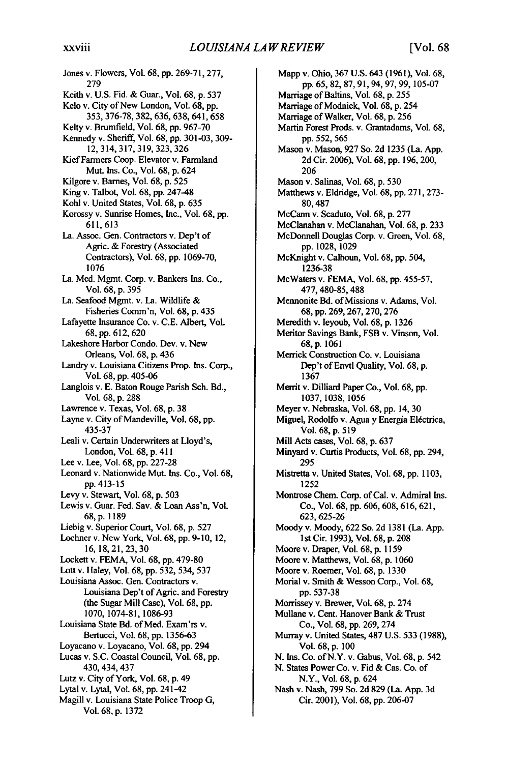Jones v. Flowers, Vol. 68, pp. 269-71,277, 279 Keith v. U.S. Fid. & Guar., Vol. 68, p. 537 Kelo v. City of New London, Vol. 68, pp. 353, 376-78, 382, 636, 638, 641,658 Kelty v. Brumfield, Vol. 68, pp. 967-70 Kennedy v. Sheriff, Vol. **68, pp. 301-03,** 309- 12, 314, 317, 319, 323, 326 Kief Farmers Coop. Elevator v. Farmland Mut. Ins. Co., Vol. 68, p. 624 Kilgore v. Barnes, Vol. 68, p. 525 King v. Talbot, Vol. 68, pp. 247-48 Kohl v. United States, Vol. 68, p. 635 Korossy v. Sunrise Homes, Inc., Vol. 68, pp. 611,613 La. Assoc. Gen. Contractors v. Dep't of Agric. & Forestry (Associated Contractors), Vol. 68, pp. 1069-70, 1076 La. Med. Mgmt. Corp. v. Bankers Ins. Co., Vol. 68, p. 395 La. Seafood Mgmt. v. La. Wildlife & Fisheries Comm'n, Vol. 68, p. 435 Lafayette Insurance Co. v. C.E. Albert, Vol. 68, pp.<sup>6</sup> <sup>12</sup> ,620 Lakeshore Harbor Condo. Dev. v. New Orleans, Vol. 68, p. 436 Landry v. Louisiana Citizens Prop. Ins. Corp., Vol. 68, pp. 405-06 Langlois v. E. Baton Rouge Parish Sch. Bd., Vol. 68, p. 288 Lawrence v. Texas, Vol. 68, p. 38 Layne v. City of Mandeville, Vol. 68, pp. 435-37 Leali v. Certain Underwriters at Lloyd's, London, Vol. 68, p. 411 Lee v. Lee, Vol. 68, pp. 227-28 Leonard v. Nationwide Mut. Ins. Co., Vol. 68, pp. 413-15 Levy v. Stewart, Vol. 68, p. 503 Lewis v. Guar. Fed. **Sav.** & Loan Ass'n, Vol. 68,p. 1189 Liebig v. Superior Court, Vol. 68, p. 527 Lochner v. New York, Vol. 68, pp. 9-10, 12, 16,18,21,23,30 Lockett v. FEMA, Vol. 68, pp. 479-80 Lott v. Haley, Vol. 68, pp. 532, 534, 537 Louisiana Assoc. Gen. Contractors v. Louisiana Dep't of Agric. and Forestry (the Sugar Mill Case), Vol. 68, pp. 1070, 1074-81, 1086-93 Louisiana State Bd. of Med. Exam'rs v. Bertucci, Vol. 68, pp. 1356-63 Loyacano v. Loyacano, Vol. 68, pp. 294 Lucas v. S.C. Coastal Council, Vol. 68, pp. 430, 434,437 Lutz v. City of York, Vol. 68, p. 49 Lytal v. Lytal, Vol. 68, pp. 241-42 Magill v. Louisiana State Police Troop G, Vol. 68, p. 1372

Mapp v. Ohio, 367 U.S. 643 (1961), Vol. 68, **pp.** 65, 82, 87, 91, 94, 97, 99, 105-07 Marriage of Baltins, Vol. 68, p. 255 Marriage of Modnick, Vol. 68, p. 254 Marriage of Walker, Vol. 68, p. 256 Martin Forest Prods. v. Grantadams, Vol. 68, pp. 552, 565 Mason v. Mason, 927 So. 2d 1235 (La. App. 2d Cir. 2006), Vol. 68, pp. 196, 200, 206 Mason v. Salinas, Vol. 68, p. 530 Matthews v. Eldridge, Vol. 68, pp. 271, 273- 80,487 McCann v. Scaduto, Vol. 68, p. 277 McClanahan v. McClanahan, Vol. 68, p. 233 McDonnell Douglas Corp. v. Green, Vol. 68, pp. 1028, 1029 McKnight v. Calhoun, Vol. 68, pp. 504, 1236-38 McWaters v. FEMA, Vol. 68, pp. 455-57, 477,480-85,488 Mennonite Bd. of Missions v. Adams, Vol. 68, pp. 269,267,270,276 Meredith v. Ieyoub, Vol. 68, p. 1326 Meritor Savings Bank, FSB v. Vinson, Vol. 68,p. 1061 Merrick Construction Co. v. Louisiana Dep't of Envtl Quality, Vol. 68, p. 1367 Merrit v. Dilliard Paper Co., Vol. 68, pp. 1037, 1038, 1056 Meyer v. Nebraska, Vol. 68, pp. 14, 30 Miguel, Rodolfo v. Agua y Energía Eléctrica, Vol. 68, p. 519 Mill Acts cases, Vol. 68, p. 637 Minyard v. Curtis Products, Vol. 68, pp. 294, 295 Mistretta v. United States, Vol. 68, pp. 1103, 1252 Montrose Chem. Corp. of Cal. v. Admiral Ins. Co., Vol. 68, pp. 606, 608, 616, 621, 623, 625-26 Moody v. Moody, 622 So. 2d 1381 (La. App. 1st Cir. 1993), Vol. 68, p. 208 Moore v. Draper, Vol. 68, p. 1159 Moore v. Matthews, Vol. 68, p. 1060 Moore v. Roemer, Vol. 68, p. 1330 Morial v. Smith & Wesson Corp., Vol. 68, pp. 537-38 Morrissey v. Brewer, Vol. 68, p. 274 Mullane v. Cent. Hanover Bank & Trust Co., Vol. 68, pp. 269, 274 Murray v. United States, 487 U.S. 533 (1988), Vol. 68, p. 100 N. Ins. Co. of N.Y. v. Gabus, Vol. 68, p. 542 N. States Power Co. v. Fid & Cas. Co. of N.Y., Vol. 68, p. 624 Nash v. Nash, 799 So. 2d 829 (La. App. 3d Cir. 2001), Vol. 68, pp. 206-07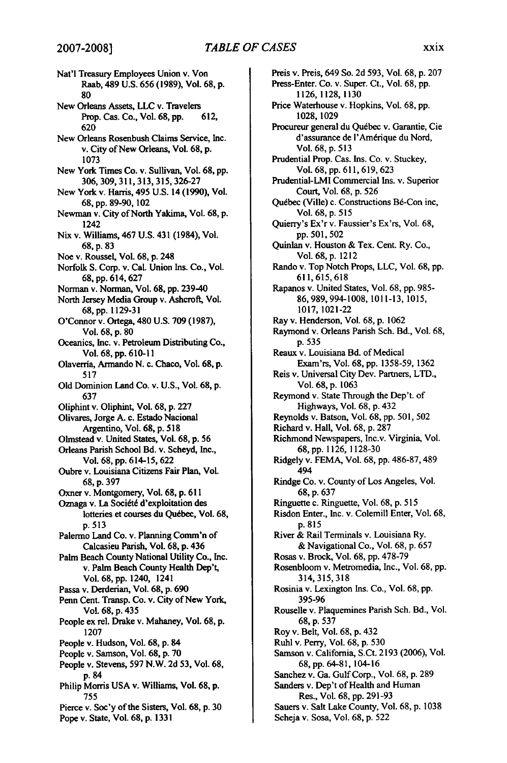Nat'l Treasury Employees Union v. Von Raab, 489 **U.S. 656 (1989),** Vol. **68, p. 80** New Orleans Assets, **LLC** v. Travelers Prop. Cas. Co., Vol. **68, pp. 612, 620** New Orleans Rosenbush Claims Service, Inc. v. City of New Orleans, Vol. **68, p. 1073** New York Times Co. v. Sullivan, Vol. **68, pp. 306, 309, 311, 313, 315, 326-27** New York v. **Harris,** 495 **U.S.** 14 **(1990),** Vol. **68, pp. 89-90,** 102 Newman v. City of North Yakima, Vol. **68, p.** 1242 Nix v. Williams, 467 **U.S.** 431 (1984), Vol. **68, p. 83** Noe v. Roussel, Vol. 68, p. 248 Norfolk **S.** Corp. v. Cal. Union Ins. Co., Vol. **68, pp. <sup>6</sup> <sup>14</sup> , <sup>6</sup> <sup>2</sup> <sup>7</sup>** Norman v. Norman, Vol. **68, pp.** 239-40 North Jersey Media Group v. Ashcrof, **Vol. 68, pp. 1129-31** O'Connor v. Ortega, 480 **U.S. 709 (1987),** Vol. **68, p. 80** Oceanics, Inc. v. Petroleum Distributing Co., Vol. 68, pp. **610-11** Olaverria, Armando N. c. Chaco, Vol. **68, p. 517 Old** Dominion Land Co. v. **U.S.,** Vol. **68, p. 637** Oliphint v. Oliphint, Vol. **68, p. 227** Olivares, Jorge **A.** c. Estado Nacional Argentino, Vol. **68, p. 518** Olmstead v. United States, Vol. **68, p. 56** Orleans Parish School Bd. v. Scheyd, Inc., Vol. **68, pp.** 614-15, **622** Oubre v. Louisiana Citizens Fair Plan, Vol. **68, p. 397** Oxner v. Montgomery, Vol. **68, p. 611** Oznaga v. La Société d'exploitation des lotteries et courses du Québec, Vol. 68, **p.513** Palermo Land Co. v. Planning Comm'n of Calcasieu Parish, Vol. 68, p. 436 Palm Beach County National Utility Co., Inc. **v.** Palm Beach County Health Dep't, Vol. 68, pp. 1240, 1241 Passa v. Derderian, Vol. 68, p. **690** Penn Cent. Transp. Co. v. City of New York, Vol. 68, p. 435 People ex rel. Drake v. Mahaney, Vol. **68, p.** 1207 People v. Hudson, Vol. 68, p. 84 People v. Samson, Vol. **68, p. 70** People v. Stevens, **597** N.W. **2d 53,** Vol. 68, **p.** <sup>84</sup> Philip Morris **USA** v. Williams, Vol. 68, p. **755** Pierce v. Soc'y of the Sisters, Vol. 68, p. **30** Pope v. State, Vol. 68, p. **1331**

Preis v. Preis, 649 So. **2d** 593, Vol. **68, p. 207** Press-Enter. Co. v. Super. Ct., Vol. **68, pp.** 1126, 1128, 1130 Price Waterhouse v. Hopkins, Vol. 68, pp. 1028, 1029 Procureur general du Québec v. Garantie, Cie d'assurance de l'Amérique du Nord, Vol. 68, p. 513 Prudential Prop. Cas. Ins. Co. v. Stuckey, Vol. 68, pp. 611,619, 623 Prudential-LMI Commercial Ins. v. Superior Court, Vol. 68, p. 526 Québec (Ville) c. Constructions Bé-Con inc, Vol. 68, p. 515 Quierry's Ex'r v. Faussier's Ex'rs, Vol. 68, pp.501,502 Quinlan v. Houston & Tex. Cent. Ry. Co., Vol. 68, p. 1212 Rando v. Top Notch Props, LLC, Vol. 68, pp. 611,615,618 Rapanos v. United States, Vol. 68, pp. 985- 86, 989, 994-1008, 1011-13, 1015, 1017, 1021-22 Ray v. Henderson, Vol. 68, p. 1062 Raymond v. Orleans Parish Sch. Bd., Vol. 68, p. 535 Reaux v. Louisiana Bd. of Medical Exam'rs, Vol. 68, pp. 1358-59, 1362 Reis v. Universal City Dev. Partners, LTD., Vol. 68, p. 1063 Reymond v. State Through the Dep't. of Highways, Vol. 68, p. 432 Reynolds v. Batson, Vol. 68, pp. 501, 502 Richard v. Hall, Vol. 68, p. 287 Richmond Newspapers, Inc.v. Virginia, Vol. 68, pp. 1126, 1128-30 Ridgely v. FEMA, Vol. 68, pp. 486-87, 489 494 Rindge Co. v. County of Los Angeles, Vol. 68, p. 637 Ringuette c. Ringuette, Vol. 68, p. 515 Risdon Enter., Inc. v. Colemill Enter, Vol. 68, p.815 River & Rail Terminals v. Louisiana Ry. & Navigational Co., Vol. 68, p. 657 Rosas v. Brock, Vol. 68, pp. 478-79 Rosenbloom v. Metromedia, Inc., Vol. 68, pp. 314, 315,318 Rosinia v. Lexington Ins. Co., Vol. 68, pp. 395-96 Rouselle v. Plaquemines Parish Sch. Bd., Vol. 68, p. 537 Roy v. Belt, Vol. 68, p. 432 Ruhl v. Perry, Vol. 68, p. 530 Samson v. California, S.Ct. 2193 (2006), Vol. 68, pp. 64-81, 104-16 Sanchez v. Ga. Gulf Corp., Vol. 68, p. 289 Sanders v. Dep't of Health and Human Res., Vol. 68, pp. 291-93 Sauers v. Salt Lake County, Vol. 68, p. 1038 Scheja v. Sosa, Vol. 68, p. 522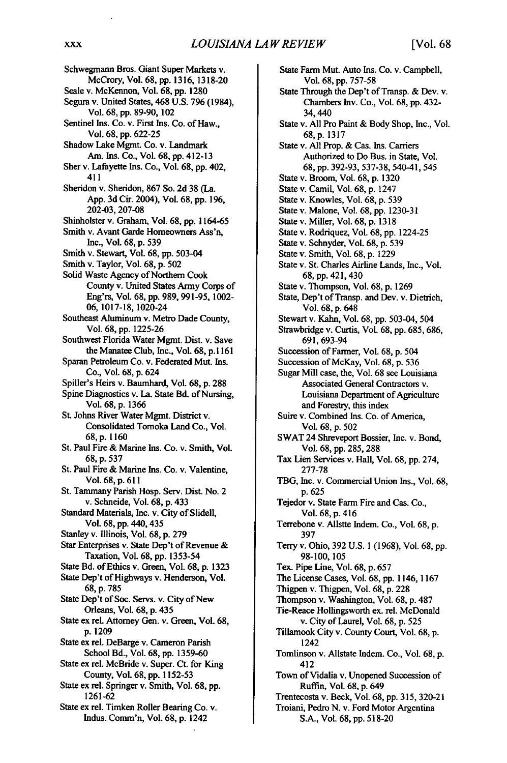Schwegmarm Bros. Giant Super Markets v. McCrory, Vol. 68, pp. 1316, 1318-20 Seale v. McKennon, Vol. 68, pp. 1280 Segura v. United States, 468 U.S. 796 (1984), Vol. 68, pp. 89-90, 102 Sentinel Ins. Co. v. First Ins. Co. of Haw., Vol. 68, pp. 622-25 Shadow Lake Mgmt. Co. v. Landmark Am. Ins. Co., Vol. 68, pp. 412-13 Sher v. Lafayette Ins. Co., Vol. 68, pp. 402, 411 Sheridon v. Sheridon, 867 So. 2d 38 (La. App. 3d Cir. 2004), Vol. 68, pp. 196, 202-03, 207-08 Shinholster v. Graham, Vol. 68, pp. 1164-65 Smith v. Avant Garde Homeowners Ass'n, Inc., Vol. 68, p. 539 Smith v. Stewart, Vol. 68, pp. 503-04 Smith v. Taylor, Vol. 68, p. 502 Solid Waste Agency of Northern Cook County v. United States Army Corps of Eng'rs, Vol. **68, pp. 989,991-95,** 1002- **06, 1017-18,** 1020-24 Southeast Aluminum v. Metro Dade County, Vol. 68, pp. 1225-26 Southwest Florida Water Mgmt. Dist. v. Save the Manatee Club, Inc., Vol. 68, p. **1161** Sparan Petroleum Co. v. Federated Mut. Ins. Co., Vol. 68, p. 624 Spiller's Heirs v. Baumhard, Vol. 68, p. 288 Spine Diagnostics v. La. State Bd. of Nursing, Vol. 68, p. 1366 St. Johns River Water Mgmt. District v. Consolidated Tomoka Land Co., Vol. 68,p. **1160** St. Paul Fire & Marine Ins. Co. v. Smith, Vol. 68, p. 537 St. Paul Fire & Marine Ins. Co. v. Valentine, Vol. 68, p. 6 <sup>1</sup> <sup>1</sup> St. Tammany Parish Hosp. Serv. Dist. No. 2 v. Schneide, Vol. 68, p. 433 Standard Materials, Inc. v. City of Slidell, Vol. 68, pp. 440, 435 Stanley v. Illinois, Vol. 68, p. 279 Star Enterprises v. State Dep't of Revenue & Taxation, Vol. 68, pp. 1353-54 State Bd. of Ethics v. Green, Vol. 68, p. 1323 State Dep't of Highways v. Henderson, Vol. 68, p. 785 State Dep't of Soc. Servs. v. City of New Orleans, Vol. **68,** p. 435 State ex rel. Attorney Gen. v. Green, Vol. 68, p. 1209 State ex rel. DeBarge v. Cameron Parish School Bd., Vol. 68, pp. 1359-60 State ex rel. McBride v. Super. Ct. for King County, Vol. 68, pp. 1152-53 State ex rel. Springer v. Smith, Vol. 68, pp. 1261-62 State ex rel. Timken Roller Bearing Co. v. Indus. Comm'n, Vol. 68, p. 1242

State Farm Mut. Auto Ins. Co. v. Campbell, Vol. 68, pp. 757-58 State Through the Dep't of Transp. & Dev. v. Chambers Iv. Co., Vol. 68, **pp.** 432- 34,440 State v. All Pro Paint & Body Shop, Inc., Vol. 68, p. 1317 State v. All Prop. & Cas. Ins. Carriers Authorized to Do Bus. in State, Vol. 68, pp. 392-93, 537-38, 540-41, *545* State v. Broom, Vol. 68, p. 1320 State v. Camil, Vol. 68, p. 1247 State v. Knowles, Vol. 68, p. 539 State v. Malone, Vol. 68, pp. 1230-31 State v. Miller, Vol. 68, p. 1318 State v. Rodriquez, Vol. 68, pp. 1224-25 State v. Schnyder, Vol. 68, p. 539 State v. Smith, Vol. 68, p. 1229 State v. St. Charles Airline Lands, Inc., Vol. 68, pp. 421, 430 State v. Thompson, Vol. 68, **p.** 1269 State, Dep't of Transp. and Dev. v. Dietrich, Vol. 68, p. 648 Stewart v. Kahn, Vol. 68, pp. 503-04, 504 Strawbridge v. Curtis, Vol. 68, pp. 685, 686, 691,693-94 Succession of Farmer, Vol. 68, p. 504 Succession of McKay, Vol. 68, p. 536 Sugar Mill case, the, Vol. 68 see Louisiana Associated General Contractors v. Louisiana Department of Agriculture and Forestry, this index Suire v. Combined Ins. Co. of America, Vol. 68, p. 502 SWAT 24 Shreveport Bossier, Inc. v. Bond, Vol. 68, pp. 285, 288 Tax Lien Services v. Hall, Vol. 68, pp. 274, 277-78 TBG, Inc. v. Commercial Union Ins., Vol. 68, p. 625 Tejedor v. State Farm Fire and Cas. Co., Vol. 68, p. 416 Terrebone v. Allstte Indem. Co., Vol. 68, p. 397 Terry v. Ohio, 392 U.S. 1 (1968), Vol. 68, pp. 98-100, 105 Tex. Pipe Line, Vol. 68, p. 657 The License Cases, Vol. 68, pp. 1146, 1167 Thigpen v. Thigpen, Vol. 68, p. 228 Thompson v. Washington, Vol. 68, p. 487 Tie-Reace Hollingsworth ex. rel. McDonald v. City of Laurel, Vol. 68, p. 525 Tillamook City v. County Court, Vol. 68, p. 1242 Tomlinson v. Allstate Indem. Co., Vol. 68, p. 412 Town of Vidalia v. Unopened Succession of Ruffin, Vol. 68, p. 649 Trentecosta v. Beck, Vol. 68, pp. **315,** 320-21 Troiani, Pedro N. v. Ford Motor Argentina **S.A., Vol. 68, pp. 518-20**